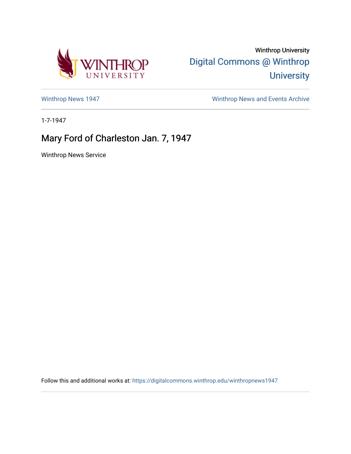

Winthrop University [Digital Commons @ Winthrop](https://digitalcommons.winthrop.edu/)  **University** 

[Winthrop News 1947](https://digitalcommons.winthrop.edu/winthropnews1947) [Winthrop News and Events Archive](https://digitalcommons.winthrop.edu/winthropnewsarchives) 

1-7-1947

## Mary Ford of Charleston Jan. 7, 1947

Winthrop News Service

Follow this and additional works at: [https://digitalcommons.winthrop.edu/winthropnews1947](https://digitalcommons.winthrop.edu/winthropnews1947?utm_source=digitalcommons.winthrop.edu%2Fwinthropnews1947%2F14&utm_medium=PDF&utm_campaign=PDFCoverPages)